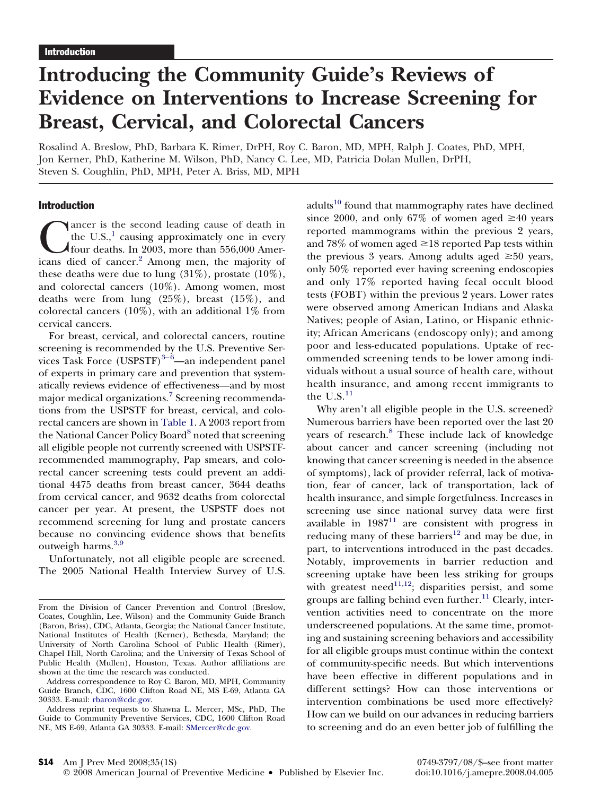# **Introducing the Community Guide's Reviews of Evidence on Interventions to Increase Screening for Breast, Cervical, and Colorectal Cancers**

Rosalind A. Breslow, PhD, Barbara K. Rimer, DrPH, Roy C. Baron, MD, MPH, Ralph J. Coates, PhD, MPH, Jon Kerner, PhD, Katherine M. Wilson, PhD, Nancy C. Lee, MD, Patricia Dolan Mullen, DrPH, Steven S. Coughlin, PhD, MPH, Peter A. Briss, MD, MPH

#### Introduction

The U.S.,<sup>1</sup> causing approximately one in every<br>four deaths. In 2003, more than 556,000 Americans died of cancer.<sup>2</sup> Among men, the majority of the U.S., $<sup>1</sup>$  $<sup>1</sup>$  $<sup>1</sup>$  causing approximately one in every</sup> four deaths. In 2003, more than 556,000 Americans died of cancer.[2](#page-5-0) Among men, the majority of these deaths were due to lung  $(31\%)$ , prostate  $(10\%)$ , and colorectal cancers (10%). Among women, most deaths were from lung (25%), breast (15%), and colorectal cancers  $(10\%)$ , with an additional 1% from cervical cancers.

For breast, cervical, and colorectal cancers, routine screening is recommended by the U.S. Preventive Ser-vices Task Force (USPSTF)<sup>[3–6](#page-4-0)</sup>—an independent panel of experts in primary care and prevention that systematically reviews evidence of effectiveness—and by most major medical organizations.<sup>[7](#page-5-0)</sup> Screening recommendations from the USPSTF for breast, cervical, and colorectal cancers are shown in [Table](#page-1-0) 1. A 2003 report from the National Cancer Policy Board<sup>[8](#page-5-0)</sup> noted that screening all eligible people not currently screened with USPSTFrecommended mammography, Pap smears, and colorectal cancer screening tests could prevent an additional 4475 deaths from breast cancer, 3644 deaths from cervical cancer, and 9632 deaths from colorectal cancer per year. At present, the USPSTF does not recommend screening for lung and prostate cancers because no convincing evidence shows that benefits outweigh harms.<sup>[3,9](#page-5-0)</sup>

Unfortunately, not all eligible people are screened. The 2005 National Health Interview Survey of U.S. adults<sup>[10](#page-5-0)</sup> found that mammography rates have declined since 2000, and only 67% of women aged  $\geq 40$  years reported mammograms within the previous 2 years, and 78% of women aged  $\geq$ 18 reported Pap tests within the previous 3 years. Among adults aged  $\geq 50$  years, only 50% reported ever having screening endoscopies and only 17% reported having fecal occult blood tests (FOBT) within the previous 2 years. Lower rates were observed among American Indians and Alaska Natives; people of Asian, Latino, or Hispanic ethnicity; African Americans (endoscopy only); and among poor and less-educated populations. Uptake of recommended screening tends to be lower among individuals without a usual source of health care, without health insurance, and among recent immigrants to the  $U.S.<sup>11</sup>$  $U.S.<sup>11</sup>$  $U.S.<sup>11</sup>$ 

Why aren't all eligible people in the U.S. screened? Numerous barriers have been reported over the last 20 years of research.<sup>[8](#page-5-0)</sup> These include lack of knowledge about cancer and cancer screening (including not knowing that cancer screening is needed in the absence of symptoms), lack of provider referral, lack of motivation, fear of cancer, lack of transportation, lack of health insurance, and simple forgetfulness. Increases in screening use since national survey data were first available in  $1987<sup>11</sup>$  $1987<sup>11</sup>$  $1987<sup>11</sup>$  are consistent with progress in reducing many of these barriers $12$  and may be due, in part, to interventions introduced in the past decades. Notably, improvements in barrier reduction and screening uptake have been less striking for groups with greatest need<sup>11,12</sup>; disparities persist, and some groups are falling behind even further.<sup>[11](#page-5-0)</sup> Clearly, intervention activities need to concentrate on the more underscreened populations. At the same time, promoting and sustaining screening behaviors and accessibility for all eligible groups must continue within the context of community-specific needs. But which interventions have been effective in different populations and in different settings? How can those interventions or intervention combinations be used more effectively? How can we build on our advances in reducing barriers to screening and do an even better job of fulfilling the

From the Division of Cancer Prevention and Control (Breslow, Coates, Coughlin, Lee, Wilson) and the Community Guide Branch (Baron, Briss), CDC, Atlanta, Georgia; the National Cancer Institute, National Institutes of Health (Kerner), Bethesda, Maryland; the University of North Carolina School of Public Health (Rimer), Chapel Hill, North Carolina; and the University of Texas School of Public Health (Mullen), Houston, Texas. Author affiliations are shown at the time the research was conducted.

Address correspondence to Roy C. Baron, MD, MPH, Community Guide Branch, CDC, 1600 Clifton Road NE, MS E-69, Atlanta GA 30333. E-mail: [rbaron@cdc.gov.](mailto:rbaron@cdc.gov)

Address reprint requests to Shawna L. Mercer, MSc, PhD, The Guide to Community Preventive Services, CDC, 1600 Clifton Road NE, MS E-69, Atlanta GA 30333. E-mail: [SMercer@cdc.gov](mailto:SMercer@cdc.gov).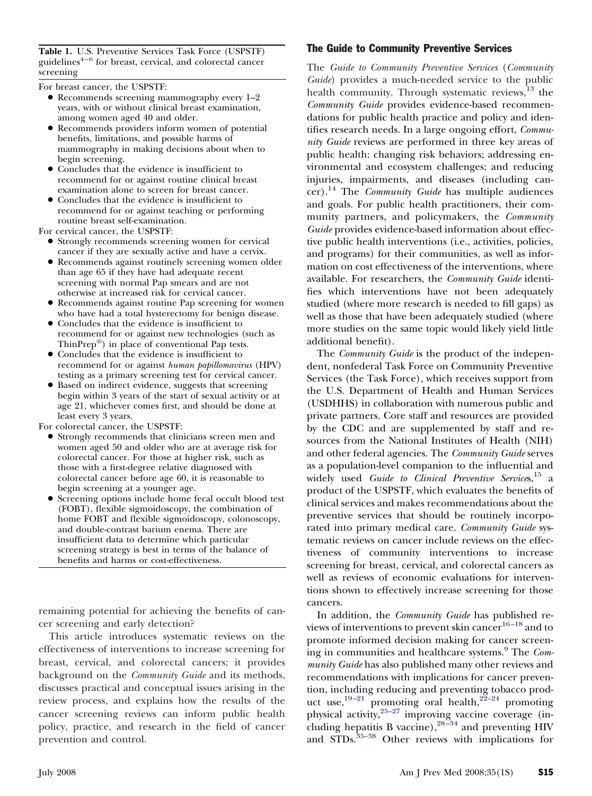<span id="page-1-0"></span>**Table 1.** U.S. Preventive Services Task Force (USPSTF) guidelines $4-6$  for breast, cervical, and colorectal cancer screening

- For breast cancer, the USPSTF:
	- Recommends screening mammography every 1–2 years, with or without clinical breast examination, among women aged 40 and older.
	- Recommends providers inform women of potential benefits, limitations, and possible harms of mammography in making decisions about when to begin screening.
	- Concludes that the evidence is insufficient to recommend for or against routine clinical breast examination alone to screen for breast cancer.
	- Concludes that the evidence is insufficient to recommend for or against teaching or performing routine breast self-examination.

For cervical cancer, the USPSTF:

- Strongly recommends screening women for cervical cancer if they are sexually active and have a cervix.
- Recommends against routinely screening women older than age 65 if they have had adequate recent screening with normal Pap smears and are not otherwise at increased risk for cervical cancer.
- Recommends against routine Pap screening for women who have had a total hysterectomy for benign disease.
- Concludes that the evidence is insufficient to recommend for or against new technologies (such as ThinPrep®) in place of conventional Pap tests.
- Concludes that the evidence is insufficient to recommend for or against *human papillomavirus* (HPV) testing as a primary screening test for cervical cancer.
- Based on indirect evidence, suggests that screening begin within 3 years of the start of sexual activity or at age 21, whichever comes first, and should be done at least every 3 years.

For colorectal cancer, the USPSTF:

- Strongly recommends that clinicians screen men and women aged 50 and older who are at average risk for colorectal cancer. For those at higher risk, such as those with a first-degree relative diagnosed with colorectal cancer before age 60, it is reasonable to begin screening at a younger age.
- Screening options include home fecal occult blood test (FOBT), flexible sigmoidoscopy, the combination of home FOBT and flexible sigmoidoscopy, colonoscopy, and double-contrast barium enema. There are insufficient data to determine which particular screening strategy is best in terms of the balance of benefits and harms or cost-effectiveness.

remaining potential for achieving the benefits of cancer screening and early detection?

This article introduces systematic reviews on the effectiveness of interventions to increase screening for breast, cervical, and colorectal cancers; it provides background on the *Community Guide* and its methods, discusses practical and conceptual issues arising in the review process, and explains how the results of the cancer screening reviews can inform public health policy, practice, and research in the field of cancer prevention and control.

### The Guide to Community Preventive Services

The *Guide to Community Preventive Services* (*Community Guide*) provides a much-needed service to the public health community. Through systematic reviews, $^{13}$  $^{13}$  $^{13}$  the *Community Guide* provides evidence-based recommendations for public health practice and policy and identifies research needs. In a large ongoing effort, *Community Guide* reviews are performed in three key areas of public health: changing risk behaviors; addressing environmental and ecosystem challenges; and reducing injuries, impairments, and diseases (including cancer).[14](#page-5-0) The *Community Guide* has multiple audiences and goals. For public health practitioners, their community partners, and policymakers, the *Community Guide* provides evidence-based information about effective public health interventions (i.e., activities, policies, and programs) for their communities, as well as information on cost effectiveness of the interventions, where available. For researchers, the *Community Guide* identifies which interventions have not been adequately studied (where more research is needed to fill gaps) as well as those that have been adequately studied (where more studies on the same topic would likely yield little additional benefit).

The *Community Guide* is the product of the independent, nonfederal Task Force on Community Preventive Services (the Task Force), which receives support from the U.S. Department of Health and Human Services (USDHHS) in collaboration with numerous public and private partners. Core staff and resources are provided by the CDC and are supplemented by staff and resources from the National Institutes of Health (NIH) and other federal agencies. The *Community Guide* serves as a population-level companion to the influential and widely used *Guide to Clinical Preventive Services*,<sup>[15](#page-5-0)</sup> a product of the USPSTF, which evaluates the benefits of clinical services and makes recommendations about the preventive services that should be routinely incorporated into primary medical care. *Community Guide* systematic reviews on cancer include reviews on the effectiveness of community interventions to increase screening for breast, cervical, and colorectal cancers as well as reviews of economic evaluations for interventions shown to effectively increase screening for those cancers.

In addition, the *Community Guide* has published reviews of interventions to prevent skin cancer  $^{16-18}$  and to promote informed decision making for cancer screening in communities and healthcare systems.[9](#page-5-0) The *Community Guide* has also published many other reviews and recommendations with implications for cancer prevention, including reducing and preventing tobacco prod-uct use,<sup>[19–21](#page-5-0)</sup> promoting oral health,<sup>[22–24](#page-5-0)</sup> promoting physical activity,[25–27](#page-6-0) improving vaccine coverage (including hepatitis B vaccine), $28-34$  and preventing HIV and STDs.<sup>35-38</sup> Other reviews with implications for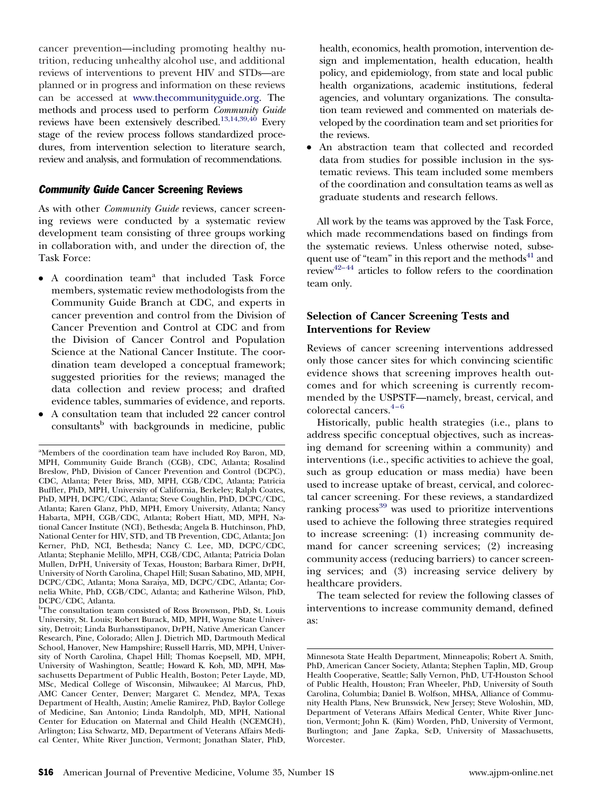cancer prevention—including promoting healthy nutrition, reducing unhealthy alcohol use, and additional reviews of interventions to prevent HIV and STDs—are planned or in progress and information on these reviews can be accessed at [www.thecommunityguide.org.](http://www.thecommunityguide.org) The methods and process used to perform *Community Guide* reviews have been extensively described[.13,14,39,40](#page-5-0) Every stage of the review process follows standardized procedures, from intervention selection to literature search, review and analysis, and formulation of recommendations.

#### Community Guide Cancer Screening Reviews

As with other *Community Guide* reviews, cancer screening reviews were conducted by a systematic review development team consisting of three groups working in collaboration with, and under the direction of, the Task Force:

- $\bullet$  A coordination team<sup>a</sup> that included Task Force members, systematic review methodologists from the Community Guide Branch at CDC, and experts in cancer prevention and control from the Division of Cancer Prevention and Control at CDC and from the Division of Cancer Control and Population Science at the National Cancer Institute. The coordination team developed a conceptual framework; suggested priorities for the reviews; managed the data collection and review process; and drafted evidence tables, summaries of evidence, and reports.
- A consultation team that included 22 cancer control consultants<sup>b</sup> with backgrounds in medicine, public

health, economics, health promotion, intervention design and implementation, health education, health policy, and epidemiology, from state and local public health organizations, academic institutions, federal agencies, and voluntary organizations. The consultation team reviewed and commented on materials developed by the coordination team and set priorities for the reviews.

• An abstraction team that collected and recorded data from studies for possible inclusion in the systematic reviews. This team included some members of the coordination and consultation teams as well as graduate students and research fellows.

All work by the teams was approved by the Task Force, which made recommendations based on findings from the systematic reviews. Unless otherwise noted, subsequent use of "team" in this report and the methods<sup>41</sup> and review $42-44$  articles to follow refers to the coordination team only.

### **Selection of Cancer Screening Tests and Interventions for Review**

Reviews of cancer screening interventions addressed only those cancer sites for which convincing scientific evidence shows that screening improves health outcomes and for which screening is currently recommended by the USPSTF—namely, breast, cervical, and colorectal cancers.[4–6](#page-5-0)

Historically, public health strategies (i.e., plans to address specific conceptual objectives, such as increasing demand for screening within a community) and interventions (i.e., specific activities to achieve the goal, such as group education or mass media) have been used to increase uptake of breast, cervical, and colorectal cancer screening. For these reviews, a standardized ranking process $39$  was used to prioritize interventions used to achieve the following three strategies required to increase screening: (1) increasing community demand for cancer screening services; (2) increasing community access (reducing barriers) to cancer screening services; and (3) increasing service delivery by healthcare providers.

The team selected for review the following classes of interventions to increase community demand, defined as:

<sup>&</sup>lt;sup>a</sup>Members of the coordination team have included Roy Baron, MD, MPH, Community Guide Branch (CGB), CDC, Atlanta; Rosalind Breslow, PhD, Division of Cancer Prevention and Control (DCPC), CDC, Atlanta; Peter Briss, MD, MPH, CGB/CDC, Atlanta; Patricia Buffler, PhD, MPH, University of California, Berkeley; Ralph Coates, PhD, MPH, DCPC/CDC, Atlanta; Steve Coughlin, PhD, DCPC/CDC, Atlanta; Karen Glanz, PhD, MPH, Emory University, Atlanta; Nancy Habarta, MPH, CGB/CDC, Atlanta; Robert Hiatt, MD, MPH, National Cancer Institute (NCI), Bethesda; Angela B. Hutchinson, PhD, National Center for HIV, STD, and TB Prevention, CDC, Atlanta; Jon Kerner, PhD, NCI, Bethesda; Nancy C. Lee, MD, DCPC/CDC, Atlanta; Stephanie Melillo, MPH, CGB/CDC, Atlanta; Patricia Dolan Mullen, DrPH, University of Texas, Houston; Barbara Rimer, DrPH, University of North Carolina, Chapel Hill; Susan Sabatino, MD, MPH, DCPC/CDC, Atlanta; Mona Saraiya, MD, DCPC/CDC, Atlanta; Cornelia White, PhD, CGB/CDC, Atlanta; and Katherine Wilson, PhD, DCPC/CDC, Atlanta.

b The consultation team consisted of Ross Brownson, PhD, St. Louis University, St. Louis; Robert Burack, MD, MPH, Wayne State University, Detroit; Linda Burhansstipanov, DrPH, Native American Cancer Research, Pine, Colorado; Allen J. Dietrich MD, Dartmouth Medical School, Hanover, New Hampshire; Russell Harris, MD, MPH, University of North Carolina, Chapel Hill; Thomas Koepsell, MD, MPH, University of Washington, Seattle; Howard K. Koh, MD, MPH, Massachusetts Department of Public Health, Boston; Peter Layde, MD, MSc, Medical College of Wisconsin, Milwaukee; Al Marcus, PhD, AMC Cancer Center, Denver; Margaret C. Mendez, MPA, Texas Department of Health, Austin; Amelie Ramirez, PhD, Baylor College of Medicine, San Antonio; Linda Randolph, MD, MPH, National Center for Education on Maternal and Child Health (NCEMCH), Arlington; Lisa Schwartz, MD, Department of Veterans Affairs Medical Center, White River Junction, Vermont; Jonathan Slater, PhD,

Minnesota State Health Department, Minneapolis; Robert A. Smith, PhD, American Cancer Society, Atlanta; Stephen Taplin, MD, Group Health Cooperative, Seattle; Sally Vernon, PhD, UT-Houston School of Public Health, Houston; Fran Wheeler, PhD, University of South Carolina, Columbia; Daniel B. Wolfson, MHSA, Alliance of Community Health Plans, New Brunswick, New Jersey; Steve Woloshin, MD, Department of Veterans Affairs Medical Center, White River Junction, Vermont; John K. (Kim) Worden, PhD, University of Vermont, Burlington; and Jane Zapka, ScD, University of Massachusetts, Worcester.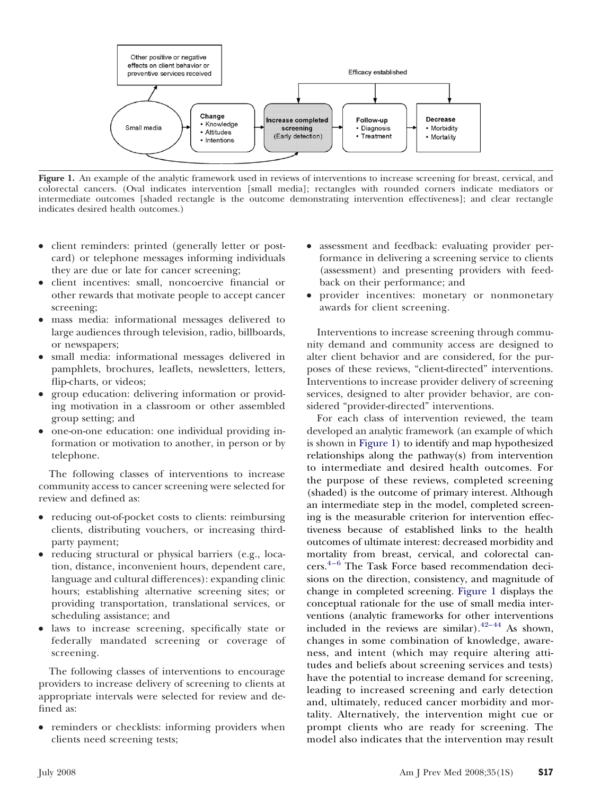

**Figure 1.** An example of the analytic framework used in reviews of interventions to increase screening for breast, cervical, and colorectal cancers. (Oval indicates intervention [small media]; rectangles with rounded corners indicate mediators or intermediate outcomes [shaded rectangle is the outcome demonstrating intervention effectiveness]; and clear rectangle indicates desired health outcomes.)

- client reminders: printed (generally letter or postcard) or telephone messages informing individuals they are due or late for cancer screening;
- client incentives: small, noncoercive financial or other rewards that motivate people to accept cancer screening;
- mass media: informational messages delivered to large audiences through television, radio, billboards, or newspapers;
- small media: informational messages delivered in pamphlets, brochures, leaflets, newsletters, letters, flip-charts, or videos;
- group education: delivering information or providing motivation in a classroom or other assembled group setting; and
- one-on-one education: one individual providing information or motivation to another, in person or by telephone.

The following classes of interventions to increase community access to cancer screening were selected for review and defined as:

- reducing out-of-pocket costs to clients: reimbursing clients, distributing vouchers, or increasing thirdparty payment;
- reducing structural or physical barriers (e.g., location, distance, inconvenient hours, dependent care, language and cultural differences): expanding clinic hours; establishing alternative screening sites; or providing transportation, translational services, or scheduling assistance; and
- laws to increase screening, specifically state or federally mandated screening or coverage of screening.

The following classes of interventions to encourage providers to increase delivery of screening to clients at appropriate intervals were selected for review and defined as:

• reminders or checklists: informing providers when clients need screening tests;

- assessment and feedback: evaluating provider performance in delivering a screening service to clients (assessment) and presenting providers with feedback on their performance; and
- provider incentives: monetary or nonmonetary awards for client screening.

Interventions to increase screening through community demand and community access are designed to alter client behavior and are considered, for the purposes of these reviews, "client-directed" interventions. Interventions to increase provider delivery of screening services, designed to alter provider behavior, are considered "provider-directed" interventions.

For each class of intervention reviewed, the team developed an analytic framework (an example of which is shown in Figure 1) to identify and map hypothesized relationships along the pathway(s) from intervention to intermediate and desired health outcomes. For the purpose of these reviews, completed screening (shaded) is the outcome of primary interest. Although an intermediate step in the model, completed screening is the measurable criterion for intervention effectiveness because of established links to the health outcomes of ultimate interest: decreased morbidity and mortality from breast, cervical, and colorectal cancers.[4–6](#page-5-0) The Task Force based recommendation decisions on the direction, consistency, and magnitude of change in completed screening. Figure 1 displays the conceptual rationale for the use of small media interventions (analytic frameworks for other interventions included in the reviews are similar).  $42-44$  As shown, changes in some combination of knowledge, awareness, and intent (which may require altering attitudes and beliefs about screening services and tests) have the potential to increase demand for screening, leading to increased screening and early detection and, ultimately, reduced cancer morbidity and mortality. Alternatively, the intervention might cue or prompt clients who are ready for screening. The model also indicates that the intervention may result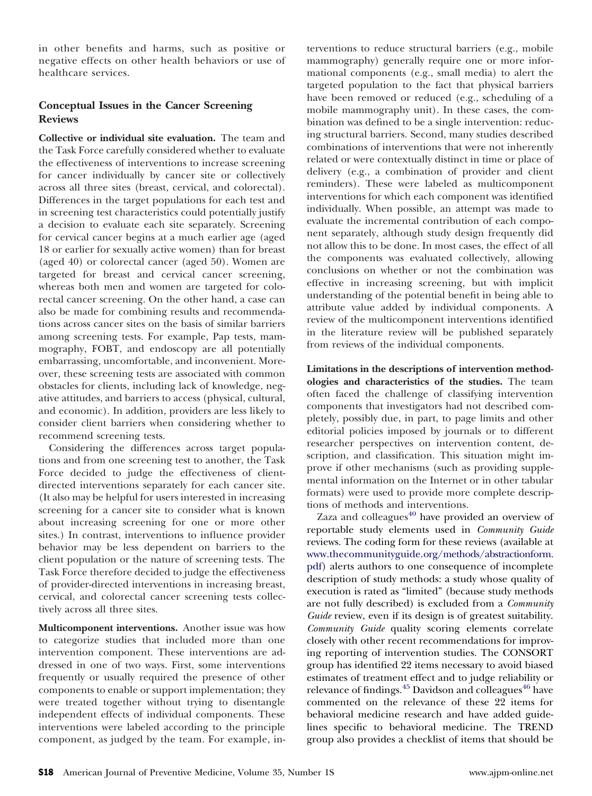<span id="page-4-0"></span>in other benefits and harms, such as positive or negative effects on other health behaviors or use of healthcare services.

## **Conceptual Issues in the Cancer Screening Reviews**

**Collective or individual site evaluation.** The team and the Task Force carefully considered whether to evaluate the effectiveness of interventions to increase screening for cancer individually by cancer site or collectively across all three sites (breast, cervical, and colorectal). Differences in the target populations for each test and in screening test characteristics could potentially justify a decision to evaluate each site separately. Screening for cervical cancer begins at a much earlier age (aged 18 or earlier for sexually active women) than for breast (aged 40) or colorectal cancer (aged 50). Women are targeted for breast and cervical cancer screening, whereas both men and women are targeted for colorectal cancer screening. On the other hand, a case can also be made for combining results and recommendations across cancer sites on the basis of similar barriers among screening tests. For example, Pap tests, mammography, FOBT, and endoscopy are all potentially embarrassing, uncomfortable, and inconvenient. Moreover, these screening tests are associated with common obstacles for clients, including lack of knowledge, negative attitudes, and barriers to access (physical, cultural, and economic). In addition, providers are less likely to consider client barriers when considering whether to recommend screening tests.

Considering the differences across target populations and from one screening test to another, the Task Force decided to judge the effectiveness of clientdirected interventions separately for each cancer site. (It also may be helpful for users interested in increasing screening for a cancer site to consider what is known about increasing screening for one or more other sites.) In contrast, interventions to influence provider behavior may be less dependent on barriers to the client population or the nature of screening tests. The Task Force therefore decided to judge the effectiveness of provider-directed interventions in increasing breast, cervical, and colorectal cancer screening tests collectively across all three sites.

**Multicomponent interventions.** Another issue was how to categorize studies that included more than one intervention component. These interventions are addressed in one of two ways. First, some interventions frequently or usually required the presence of other components to enable or support implementation; they were treated together without trying to disentangle independent effects of individual components. These interventions were labeled according to the principle component, as judged by the team. For example, in-

terventions to reduce structural barriers (e.g., mobile mammography) generally require one or more informational components (e.g., small media) to alert the targeted population to the fact that physical barriers have been removed or reduced (e.g., scheduling of a mobile mammography unit). In these cases, the combination was defined to be a single intervention: reducing structural barriers. Second, many studies described combinations of interventions that were not inherently related or were contextually distinct in time or place of delivery (e.g., a combination of provider and client reminders). These were labeled as multicomponent interventions for which each component was identified individually. When possible, an attempt was made to evaluate the incremental contribution of each component separately, although study design frequently did not allow this to be done. In most cases, the effect of all the components was evaluated collectively, allowing conclusions on whether or not the combination was effective in increasing screening, but with implicit understanding of the potential benefit in being able to attribute value added by individual components. A review of the multicomponent interventions identified in the literature review will be published separately from reviews of the individual components.

**Limitations in the descriptions of intervention methodologies and characteristics of the studies.** The team often faced the challenge of classifying intervention components that investigators had not described completely, possibly due, in part, to page limits and other editorial policies imposed by journals or to different researcher perspectives on intervention content, description, and classification. This situation might improve if other mechanisms (such as providing supplemental information on the Internet or in other tabular formats) were used to provide more complete descriptions of methods and interventions.

Zaza and colleagues $40$  have provided an overview of reportable study elements used in *Community Guide* reviews. The coding form for these reviews (available at [www.thecommunityguide.org/methods/abstractionform.](http://www.thecommunityguide.org/methods/abstractionform.pdf) [pdf\)](http://www.thecommunityguide.org/methods/abstractionform.pdf) alerts authors to one consequence of incomplete description of study methods: a study whose quality of execution is rated as "limited" (because study methods are not fully described) is excluded from a *Community Guide* review, even if its design is of greatest suitability. *Community Guide* quality scoring elements correlate closely with other recent recommendations for improving reporting of intervention studies. The CONSORT group has identified 22 items necessary to avoid biased estimates of treatment effect and to judge reliability or relevance of findings.<sup>[45](#page-6-0)</sup> Davidson and colleagues<sup>[46](#page-6-0)</sup> have commented on the relevance of these 22 items for behavioral medicine research and have added guidelines specific to behavioral medicine. The TREND group also provides a checklist of items that should be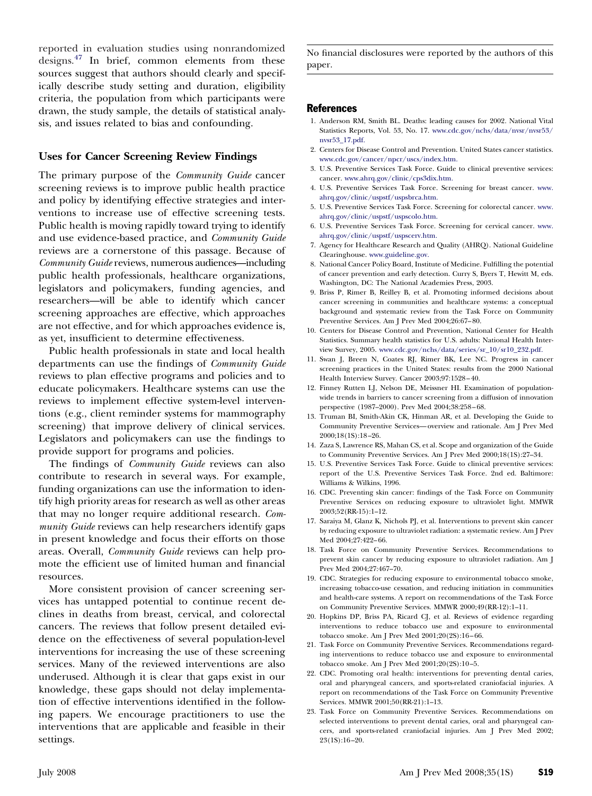<span id="page-5-0"></span>reported in evaluation studies using nonrandomized designs.[47](#page-6-0) In brief, common elements from these sources suggest that authors should clearly and specifically describe study setting and duration, eligibility criteria, the population from which participants were drawn, the study sample, the details of statistical analysis, and issues related to bias and confounding.

#### **Uses for Cancer Screening Review Findings**

The primary purpose of the *Community Guide* cancer screening reviews is to improve public health practice and policy by identifying effective strategies and interventions to increase use of effective screening tests. Public health is moving rapidly toward trying to identify and use evidence-based practice, and *Community Guide* reviews are a cornerstone of this passage. Because of *Community Guide* reviews, numerous audiences—including public health professionals, healthcare organizations, legislators and policymakers, funding agencies, and researchers—will be able to identify which cancer screening approaches are effective, which approaches are not effective, and for which approaches evidence is, as yet, insufficient to determine effectiveness.

Public health professionals in state and local health departments can use the findings of *Community Guide* reviews to plan effective programs and policies and to educate policymakers. Healthcare systems can use the reviews to implement effective system-level interventions (e.g., client reminder systems for mammography screening) that improve delivery of clinical services. Legislators and policymakers can use the findings to provide support for programs and policies.

The findings of *Community Guide* reviews can also contribute to research in several ways. For example, funding organizations can use the information to identify high priority areas for research as well as other areas that may no longer require additional research. *Community Guide* reviews can help researchers identify gaps in present knowledge and focus their efforts on those areas. Overall, *Community Guide* reviews can help promote the efficient use of limited human and financial resources.

More consistent provision of cancer screening services has untapped potential to continue recent declines in deaths from breast, cervical, and colorectal cancers. The reviews that follow present detailed evidence on the effectiveness of several population-level interventions for increasing the use of these screening services. Many of the reviewed interventions are also underused. Although it is clear that gaps exist in our knowledge, these gaps should not delay implementation of effective interventions identified in the following papers. We encourage practitioners to use the interventions that are applicable and feasible in their settings.

No financial disclosures were reported by the authors of this paper.

#### References

- 1. Anderson RM, Smith BL. Deaths: leading causes for 2002. National Vital Statistics Reports, Vol. 53, No. 17. [www.cdc.gov/nchs/data/nvsr/nvsr53/](http://www.cdc.gov/nchs/data/nvsr/nvsr53/nvsr53_17.pdf) [nvsr53\\_17.pdf.](http://www.cdc.gov/nchs/data/nvsr/nvsr53/nvsr53_17.pdf)
- 2. Centers for Disease Control and Prevention. United States cancer statistics. [www.cdc.gov/cancer/npcr/uscs/index.htm.](http://www.cdc.gov/cancer/npcr/uscs/index.htm)
- 3. U.S. Preventive Services Task Force. Guide to clinical preventive services: cancer. [www.ahrq.gov/clinic/cps3dix.htm.](http://www.ahrq.gov/clinic/cps3dix.htm)
- 4. U.S. Preventive Services Task Force. Screening for breast cancer. [www.](http://www.ahrq.gov/clinic/uspstf/uspsbrca.htm) [ahrq.gov/clinic/uspstf/uspsbrca.htm.](http://www.ahrq.gov/clinic/uspstf/uspsbrca.htm)
- 5. U.S. Preventive Services Task Force. Screening for colorectal cancer. [www.](http://www.ahrq.gov/clinic/uspstf/uspscolo.htm) [ahrq.gov/clinic/uspstf/uspscolo.htm.](http://www.ahrq.gov/clinic/uspstf/uspscolo.htm)
- 6. U.S. Preventive Services Task Force. Screening for cervical cancer. [www.](http://www.ahrq.gov/clinic/uspstf/uspscerv.htm) [ahrq.gov/clinic/uspstf/uspscerv.htm.](http://www.ahrq.gov/clinic/uspstf/uspscerv.htm)
- 7. Agency for Healthcare Research and Quality (AHRQ). National Guideline Clearinghouse. [www.guideline.gov.](http://www.guideline.gov)
- 8. National Cancer Policy Board, Institute of Medicine. Fulfilling the potential of cancer prevention and early detection. Curry S, Byers T, Hewitt M, eds. Washington, DC: The National Academies Press, 2003.
- 9. Briss P, Rimer B, Reilley B, et al. Promoting informed decisions about cancer screening in communities and healthcare systems: a conceptual background and systematic review from the Task Force on Community Preventive Services. Am J Prev Med 2004;26:67–80.
- 10. Centers for Disease Control and Prevention, National Center for Health Statistics. Summary health statistics for U.S. adults: National Health Interview Survey, 2005. [www.cdc.gov/nchs/data/series/sr\\_10/sr10\\_232.pdf.](http://www.cdc.gov/nchs/data/series/sr_10/sr10_232.pdf)
- 11. Swan J, Breen N, Coates RJ, Rimer BK, Lee NC. Progress in cancer screening practices in the United States: results from the 2000 National Health Interview Survey. Cancer 2003;97:1528–40.
- 12. Finney Rutten LJ, Nelson DE, Meissner HI. Examination of populationwide trends in barriers to cancer screening from a diffusion of innovation perspective (1987–2000). Prev Med 2004;38:258–68.
- 13. Truman BI, Smith-Akin CK, Hinman AR, et al. Developing the Guide to Community Preventive Services—overview and rationale. Am J Prev Med 2000;18(1S):18–26.
- 14. Zaza S, Lawrence RS, Mahan CS, et al. Scope and organization of the Guide to Community Preventive Services. Am J Prev Med 2000;18(1S):27–34.
- 15. U.S. Preventive Services Task Force. Guide to clinical preventive services: report of the U.S. Preventive Services Task Force. 2nd ed. Baltimore: Williams & Wilkins, 1996.
- 16. CDC. Preventing skin cancer: findings of the Task Force on Community Preventive Services on reducing exposure to ultraviolet light. MMWR 2003;52(RR-15):1–12.
- 17. Saraiya M, Glanz K, Nichols PJ, et al. Interventions to prevent skin cancer by reducing exposure to ultraviolet radiation: a systematic review. Am J Prev Med 2004;27:422–66.
- 18. Task Force on Community Preventive Services. Recommendations to prevent skin cancer by reducing exposure to ultraviolet radiation. Am J Prev Med 2004;27:467–70.
- 19. CDC. Strategies for reducing exposure to environmental tobacco smoke, increasing tobacco-use cessation, and reducing initiation in communities and health-care systems. A report on recommendations of the Task Force on Community Preventive Services. MMWR 2000;49(RR-12):1–11.
- 20. Hopkins DP, Briss PA, Ricard CJ, et al. Reviews of evidence regarding interventions to reduce tobacco use and exposure to environmental tobacco smoke. Am J Prev Med 2001;20(2S):16–66.
- 21. Task Force on Community Preventive Services. Recommendations regarding interventions to reduce tobacco use and exposure to environmental tobacco smoke. Am J Prev Med 2001;20(2S):10–5.
- 22. CDC. Promoting oral health: interventions for preventing dental caries, oral and pharyngeal cancers, and sports-related craniofacial injuries. A report on recommendations of the Task Force on Community Preventive Services. MMWR 2001;50(RR-21):1–13.
- 23. Task Force on Community Preventive Services. Recommendations on selected interventions to prevent dental caries, oral and pharyngeal cancers, and sports-related craniofacial injuries. Am J Prev Med 2002; 23(1S):16–20.